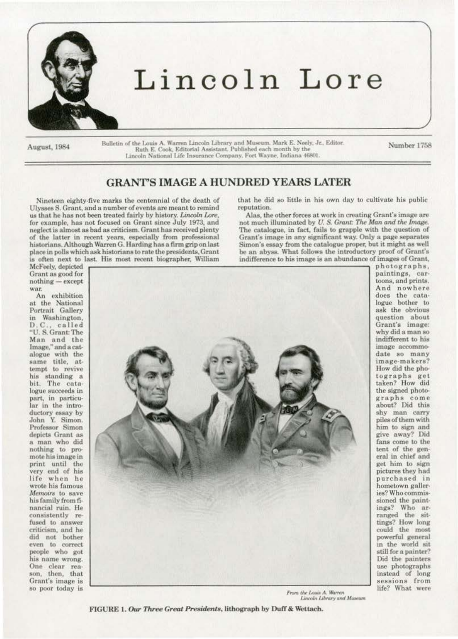

# Lincoln Lore

August, 1984

Bulletin of the Louis A. Warren Lincoln Library and Museum. Mark E. Neely, Jr., Editor.<br>Ruth E. Cook, Editorial Assistant. Published each month by the Lincoln National Life Insurance Company, Fort Wayne, Indiana 46801.

Number 1758

paintings, car-

toons, and prints.

And nowhere

does the cata-

logue bother to ask the obvious

question about

Grant's image:

why did a man so

indifferent to his image accommo-

date so many

image-makers?

How did the pho-

tographs get taken? How did

the signed photo-

graphs come about? Did this

shy man carry piles of them with

him to sign and give away? Did

fans come to the

tent of the gen-

eral in chief and

get him to sign pictures they had

purchased in

hometown galleries? Who commis-

sioned the paint-

ings? Who ar-

ranged the sit-

tings? How long

could the most

powerful general

in the world sit

still for a painter?

Did the painters use photographs

instead of long sessions from

life? What were

## **GRANT'S IMAGE A HUNDRED YEARS LATER**

Nineteen eighty-five marks the centennial of the death of Ulysses S. Grant, and a number of events are meant to remind us that he has not been treated fairly by history. Lincoln Lore, for example, has not focused on Grant since July 1973, and neglect is almost as bad as criticism. Grant has received plenty of the latter in recent years, especially from professional historians, Although Warren G. Harding has a firm grip on last place in polls which ask historians to rate the presidents, Grant is often next to last. His most recent biographer, William

that he did so little in his own day to cultivate his public reputation.

Alas, the other forces at work in creating Grant's image are not much illuminated by U.S. Grant: The Man and the Image. The catalogue, in fact, fails to grapple with the question of Grant's image in any significant way. Only a page separates Simon's essay from the catalogue proper, but it might as well be an abyss. What follows the introductory proof of Grant's indifference to his image is an abundance of images of Grant, photographs.

McFeely, depicted Grant as good for  $nothing - except$ war.

An exhibition at the National Portrait Gallery in Washington, D.C., called "U.S. Grant: The Man and the Image," and a catalogue with the same title, attempt to revive his standing a bit. The catalogue succeeds in part, in particular in the introductory essay by<br>John Y. Simon. Professor Simon depicts Grant as a man who did nothing to promote his image in print until the<br>very end of his life when he wrote his famous Memoirs to save his family from financial ruin. He consistently refused to answer criticism, and he did not bother even to correct people who got his name wrong. One clear reason, then, that Grant's image is so poor today is



From the Louis A. Warren Lincoln Library and Museum

FIGURE 1. Our Three Great Presidents, lithograph by Duff & Wettach.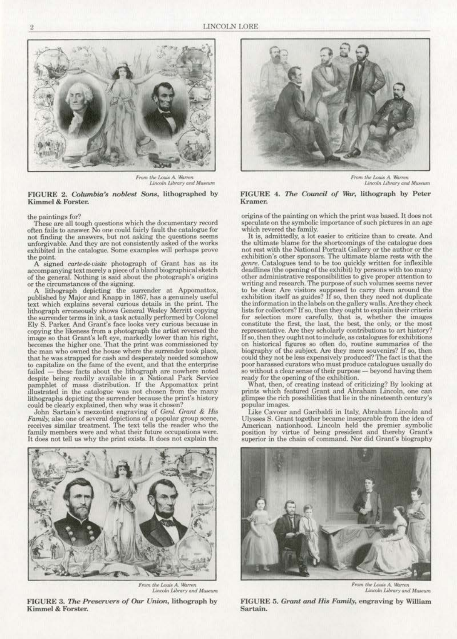

*From the Louis A. Warren*<br>*Lincoln Library and Museum* 

#### FIGURE 2. *Columbia's noblest Sons*, lithographed by Kimmel & Forster.

#### the paintings for?

These are all tough questions which the documentary record often fails to answer. No one could fairly fault the catalogue for not finding the answers, but not asking the questions seems unforgivable. And they are not consistently asked of the works exhibited in the catalogue. Some examples will perhaps prove **the point..** 

A signed carte-de-visite photograph of Grant has as its accompanying text merely a piece of a bland biographical sketch of the general. Nothing is said about the photograph's origins or the circumstances of the signing.

A lithograph depicting the surrender at Appomattox, published by Major and Knapp in 1867, has a genuinely useful text which explains several curious details in the print. The lithograph erroneously shows General Wesley Merritt copying the surrender terms in ink, a task actually performed by Colonel Ely S. Parker. And Grant's face looks very curious because in copying the likeness from a photograph the artist reversed the image so that Grant's left eye, markedly lower than his right, **becomes the higher one. That the print was commissioned by** the man who owned the house where the surrender took place, the man who owned the house where the surrender took place, that he was strapped for cash and desperately needed somehow to capitalize on the fame of the event., and that the enterprise failed - these facts about the lithograph are nowhere noted despite being readily available in a National Park Service pamphlet of mass distribution. If the Appomattox print 11lustrated in the catalogue was not chosen from the many lithographs depicting the surrender because the print's history could be clearly explained, then why was it chosen?

John Sartain's mezzotint engraving of *CenL Grant* & *Hi;;*  **Family, also one of several depictions of a popular group scene, reocivcs similar treatment. The text tells the reader who the**  family members were and what their future occupations were. It does not tell us why the print exists. It does not explain the



Lincoln Library and Museum

FIGURE 3. *The Preservers of Our Union*, lithograph by Kimmel & Forster.



 $From the Louis A. Warren$ Lincoln Library and Museum

#### FIGURE 4. The Council of War, lithograph by Peter **Kramer.**

origins of the painting on whieh the print was based. It does not **speculate on the symbolic importance of such pictures in an age**  which revered the family.

**It is, admittedly, a lot easier to criticize than to create. And**  the ultimate blame for the shortcomings of the catalogue does not rest with the National Portrait Gallery or the author or the **axhibition's other sponsors. The ultimate blame rests with the**  genre. Catalogues tend to be too quickly written for inflexible deadlines (the opening of the exhibit) by persons with too many **other administrative responsibilities to gwe proper attention to writing and research. The purpose of such volumes seems never**  to be clear. Are visitors supposed to carry them around the exhibition itself as guides? If so, then they need not duplicate the information in the labels on the gallery walls. Are they check lists for collectors? If so, then they ought to explain their criteria **for selection more carefully, that is, whether the images**  constitute the first, the last, the best, the only, or the most representative. Are they scholarly contributions to art history? If so, then they ought not to include, as catalogues for exhibitions **on historical figures so often do, routine summaries of the**  biography of the subject. Are they mere souvenirs? If so, then could they not be less expensively produced? The fact is that the so without a clear sense of their purpose - beyond having them ready for the opening of the exhibition.

What, then, of creating instead of criticizing? By looking at prints whieh featured Grant and Abraham Lincoln, one can  $g$ limpse the rich possibilities that lie in the nineteenth century's **popular 1mages.** 

Like Cavour and Garibaldi in Italy, Abraham Lincoln and Ulysses S. Grant together became inseparable from the idea of American nationhood. Lincoln held the premier symbolic position by virtue of being president and thereby Grant's **superior in the chain or command. Nor did Grant's biography** 



**J.'rom** *tJv* **l.ou4 A. M&nm Lincoln Library and Museum** 

FIGURE 5. *Cranl. and ffis Family,* engraving by William Sartain.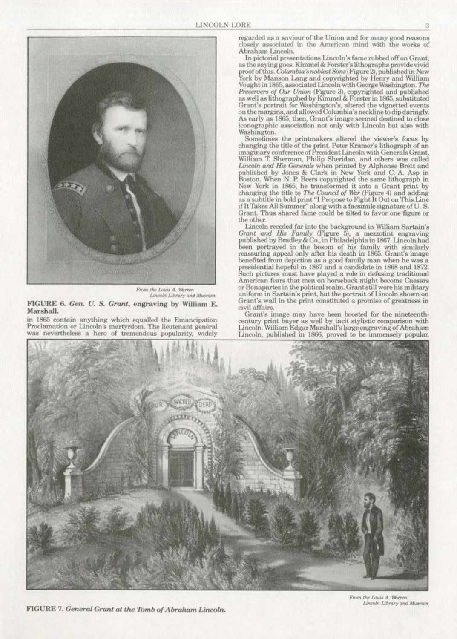

*11- Prom the Louis A. Warren*<br>*Lincoln Library and Museum* 

FIGURE 6. *Gen. U. S. Grant*, engraving by William E. MarshalL

in 1865 contain anything which equalled the Emancipation Proclamation or Linooln's martyrdom. The lieutenant general was nevertheless o hero of tremendous popularity, widely

**regarded as a saviour of the Union and for many good reasons**  closely associated in the American mind with the works of Abraham Lincoln.<br>In pictorial presentations Lincoln's fame rubbed off on Grant.

In pictorial presentations Lincoln's fame rubbed off on Grant, as the saying goes. Kimmel & Forster's lithographs provide vivid proof of this. Columbia's noblest Sons (Figure 2), published in New York by Manson Lang and copyrighted by Henry and William Vought in 1865, associated Lincoln with George Washington. The *Preservers of Our Union* (Figure 3), copyrighted and published as well as lithographed by Kimmel & Forster in 1865, substituted Grant's portrait for Washington's, altered the vignetted events on the margins, and allowed Columbia's neckline to dip daringly. As early as 1865, then, Grant's image seemed destined to close **iconographic association not only with Lincoln but also with**  Washington.

Sometimes the printmakers altered the viewer's focus by changing the title of the print, Peter Kramer's lithograph of an imaginary conference of President Lincoln with Generals Grant, William T. Sherman, Philip Sheridan, and others was called *Lincoln and His Generals* when printed by Alphonse Brett and published by Jones & Clark in New York and C. A. Asp in Boston. When N. P. Beers copyrighted the same lithograph in changing the title to *The Council of War* (Figure 4) and adding as a subtitle in bold print "I Propose to Fight It Out on This Line if It Thkes All Summer'' along with a facsimile signature of U. S. Grant. Thus shared fame could be tilted to favor one figure or the other.

Lincoln receded far into the background in William Sartain's Grant and *His Family* (Figure 5), a mezzotint engraving published by Bradley & Co., in Philadelphia in 1867. Lincoln had been portrayed in the bosom of his family with similarly reassuring appeal only after his death in 1865. Grant's image benefited from depiction as a good family man when he was a presidential hopeful in 1867 and a candidate in 1868 and 1872. Such pictures must have played a role in defusing traditional American fears that men on horseback might become Caesars or Bonapartes in the political realm. Grant still wore his military<br>uniform in Sartain's print, but the portrait of Lincoln shown on<br>Grant's wall in the print constituted a promise of greatness in civil affairs.

Grant's image may have been boosted for the nineteenthcentury print buyer as well by tacit stylistic comparison with Lincoln. William Edgar Marshall's large engraving of Abraham Lincoln, published in 1868, proved to be immensely popular;



FIGURE 7. *General Grant at the Tomb of Abraham Lincoln.*